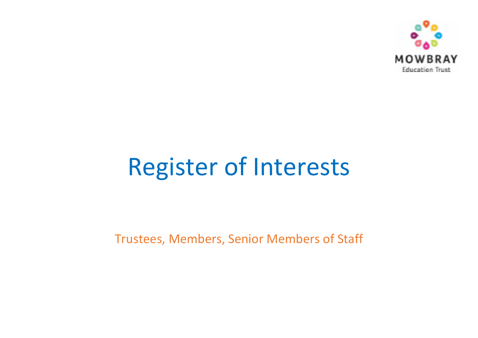

# Register of Interests

Trustees, Members, Senior Members of Staff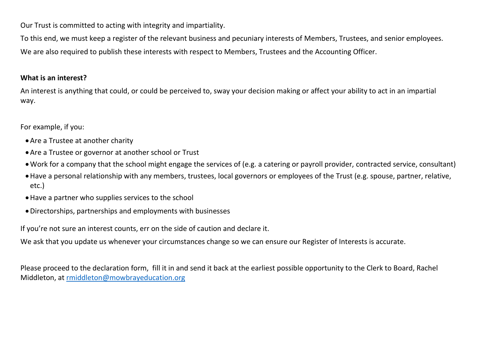Our Trust is committed to acting with integrity and impartiality.

To this end, we must keep a register of the relevant business and pecuniary interests of Members, Trustees, and senior employees. We are also required to publish these interests with respect to Members, Trustees and the Accounting Officer.

#### **What is an interest?**

An interest is anything that could, or could be perceived to, sway your decision making or affect your ability to act in an impartial way.

For example, if you:

- Are a Trustee at another charity
- Are a Trustee or governor at another school or Trust
- •Work for a company that the school might engage the services of (e.g. a catering or payroll provider, contracted service, consultant)
- •Have a personal relationship with any members, trustees, local governors or employees of the Trust (e.g. spouse, partner, relative, etc.)
- •Have a partner who supplies services to the school
- •Directorships, partnerships and employments with businesses

If you're not sure an interest counts, err on the side of caution and declare it.

We ask that you update us whenever your circumstances change so we can ensure our Register of Interests is accurate.

Please proceed to the declaration form, fill it in and send it back at the earliest possible opportunity to the Clerk to Board, Rachel Middleton, at [rmiddleton@mowbrayeducation.org](mailto:rmiddleton@mowbrayeducation.org)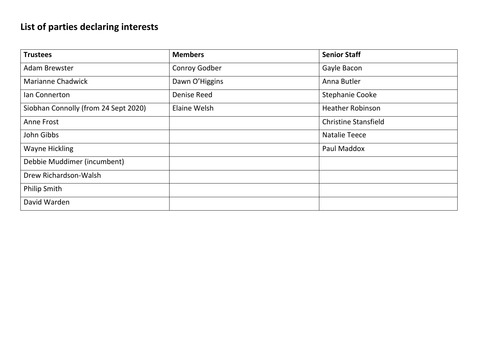# **List of parties declaring interests**

| <b>Trustees</b>                      | <b>Members</b>       | <b>Senior Staff</b>         |
|--------------------------------------|----------------------|-----------------------------|
| Adam Brewster                        | <b>Conroy Godber</b> | Gayle Bacon                 |
| <b>Marianne Chadwick</b>             | Dawn O'Higgins       | Anna Butler                 |
| lan Connerton                        | Denise Reed          | <b>Stephanie Cooke</b>      |
| Siobhan Connolly (from 24 Sept 2020) | Elaine Welsh         | <b>Heather Robinson</b>     |
| Anne Frost                           |                      | <b>Christine Stansfield</b> |
| John Gibbs                           |                      | <b>Natalie Teece</b>        |
| <b>Wayne Hickling</b>                |                      | Paul Maddox                 |
| Debbie Muddimer (incumbent)          |                      |                             |
| Drew Richardson-Walsh                |                      |                             |
| <b>Philip Smith</b>                  |                      |                             |
| David Warden                         |                      |                             |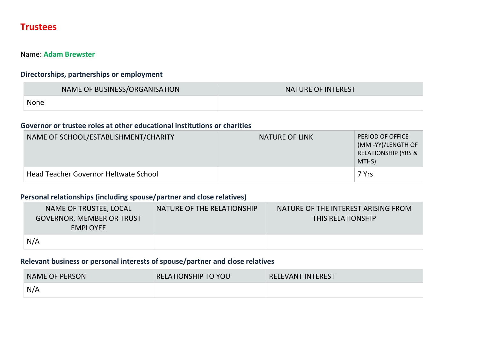# **Trustees**

#### Name: **Adam Brewster**

## **Directorships, partnerships or employment**

| NAME OF BUSINESS/ORGANISATION | <b>NATURE OF INTEREST</b> |
|-------------------------------|---------------------------|
| <b>None</b>                   |                           |

#### **Governor or trustee roles at other educational institutions or charities**

| NAME OF SCHOOL/ESTABLISHMENT/CHARITY  | <b>NATURE OF LINK</b> | PERIOD OF OFFICE<br>(MM-YY)/LENGTH OF<br><b>RELATIONSHIP (YRS &amp;</b><br>MTHS) |
|---------------------------------------|-----------------------|----------------------------------------------------------------------------------|
| Head Teacher Governor Heltwate School |                       | 7 Yrs                                                                            |

## **Personal relationships (including spouse/partner and close relatives)**

| NAME OF TRUSTEE, LOCAL<br><b>GOVERNOR, MEMBER OR TRUST</b><br>EMPLOYEE | NATURE OF THE RELATIONSHIP | NATURE OF THE INTEREST ARISING FROM<br><b>THIS RELATIONSHIP</b> |
|------------------------------------------------------------------------|----------------------------|-----------------------------------------------------------------|
| N/A                                                                    |                            |                                                                 |

| <b>NAME OF PERSON</b> | <b>RELATIONSHIP TO YOU</b> | <b>RELEVANT INTEREST</b> |
|-----------------------|----------------------------|--------------------------|
| N/A                   |                            |                          |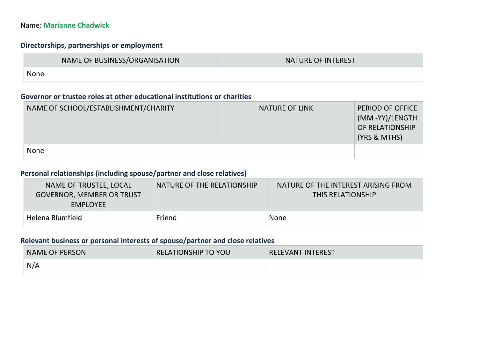#### Name: **Marianne Chadwick**

## **Directorships, partnerships or employment**

| NAME OF BUSINESS/ORGANISATION | <b>NATURE OF INTEREST</b> |
|-------------------------------|---------------------------|
| None                          |                           |

#### **Governor or trustee roles at other educational institutions or charities**

| NAME OF SCHOOL/ESTABLISHMENT/CHARITY | <b>NATURE OF LINK</b> | PERIOD OF OFFICE<br>(MM-YY)/LENGTH<br>OF RELATIONSHIP<br>(YRS & MTHS) |
|--------------------------------------|-----------------------|-----------------------------------------------------------------------|
| <b>None</b>                          |                       |                                                                       |

## **Personal relationships (including spouse/partner and close relatives)**

| NAME OF TRUSTEE, LOCAL<br><b>GOVERNOR, MEMBER OR TRUST</b><br><b>EMPLOYEE</b> | NATURE OF THE RELATIONSHIP | NATURE OF THE INTEREST ARISING FROM<br><b>THIS RELATIONSHIP</b> |
|-------------------------------------------------------------------------------|----------------------------|-----------------------------------------------------------------|
| Helena Blumfield                                                              | Friend                     | <b>None</b>                                                     |

| <b>NAME OF PERSON</b> | <b>RELATIONSHIP TO YOU</b> | <b>RELEVANT INTEREST</b> |
|-----------------------|----------------------------|--------------------------|
| N/f                   |                            |                          |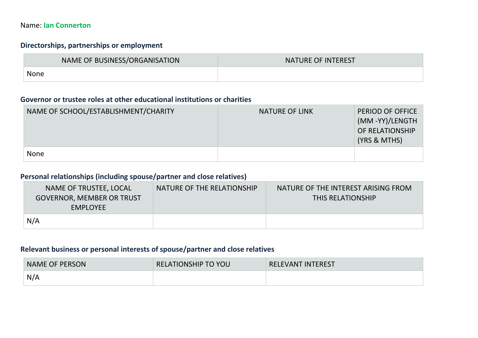#### Name: **Ian Connerton**

## **Directorships, partnerships or employment**

| NAME OF BUSINESS/ORGANISATION | <b>NATURE OF INTEREST</b> |
|-------------------------------|---------------------------|
| None                          |                           |

#### **Governor or trustee roles at other educational institutions or charities**

| NAME OF SCHOOL/ESTABLISHMENT/CHARITY | <b>NATURE OF LINK</b> | PERIOD OF OFFICE<br>(MM-YY)/LENGTH<br>OF RELATIONSHIP<br>(YRS & MTHS) |
|--------------------------------------|-----------------------|-----------------------------------------------------------------------|
| None                                 |                       |                                                                       |

## **Personal relationships (including spouse/partner and close relatives)**

| NAME OF TRUSTEE, LOCAL<br><b>GOVERNOR, MEMBER OR TRUST</b><br><b>EMPLOYEE</b> | NATURE OF THE RELATIONSHIP | NATURE OF THE INTEREST ARISING FROM<br><b>THIS RELATIONSHIP</b> |
|-------------------------------------------------------------------------------|----------------------------|-----------------------------------------------------------------|
| N/A                                                                           |                            |                                                                 |

| NAME OF PERSON | <b>RELATIONSHIP TO YOU</b> | <b>RELEVANT INTEREST</b> |
|----------------|----------------------------|--------------------------|
| N/A            |                            |                          |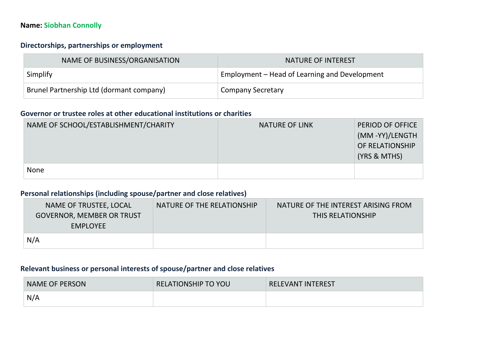## **Name: Siobhan Connolly**

## **Directorships, partnerships or employment**

| NAME OF BUSINESS/ORGANISATION            | NATURE OF INTEREST                            |
|------------------------------------------|-----------------------------------------------|
| Simplify                                 | Employment – Head of Learning and Development |
| Brunel Partnership Ltd (dormant company) | <b>Company Secretary</b>                      |

#### **Governor or trustee roles at other educational institutions or charities**

| NAME OF SCHOOL/ESTABLISHMENT/CHARITY | <b>NATURE OF LINK</b> | PERIOD OF OFFICE<br>(MM-YY)/LENGTH<br>OF RELATIONSHIP<br>(YRS & MTHS) |
|--------------------------------------|-----------------------|-----------------------------------------------------------------------|
| <b>None</b>                          |                       |                                                                       |

## **Personal relationships (including spouse/partner and close relatives)**

| NAME OF TRUSTEE, LOCAL<br><b>GOVERNOR, MEMBER OR TRUST</b><br><b>EMPLOYEE</b> | NATURE OF THE RELATIONSHIP | NATURE OF THE INTEREST ARISING FROM<br><b>THIS RELATIONSHIP</b> |
|-------------------------------------------------------------------------------|----------------------------|-----------------------------------------------------------------|
| N/A                                                                           |                            |                                                                 |

| <b>NAME OF PERSON</b> | <b>RELATIONSHIP TO YOU</b> | <b>RELEVANT INTEREST</b> |
|-----------------------|----------------------------|--------------------------|
| N/A                   |                            |                          |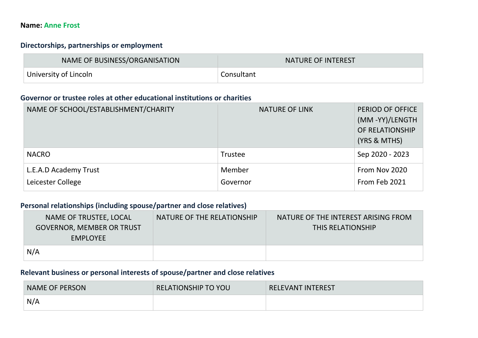#### **Name: Anne Frost**

## **Directorships, partnerships or employment**

| NAME OF BUSINESS/ORGANISATION | <b>NATURE OF INTEREST</b> |
|-------------------------------|---------------------------|
| University of Lincoln         | Consultant                |

#### **Governor or trustee roles at other educational institutions or charities**

| NAME OF SCHOOL/ESTABLISHMENT/CHARITY       | <b>NATURE OF LINK</b> | PERIOD OF OFFICE<br>(MM-YY)/LENGTH<br>OF RELATIONSHIP<br>(YRS & MTHS) |
|--------------------------------------------|-----------------------|-----------------------------------------------------------------------|
| <b>NACRO</b>                               | <b>Trustee</b>        | Sep 2020 - 2023                                                       |
| L.E.A.D Academy Trust<br>Leicester College | Member<br>Governor    | From Nov 2020<br>From Feb 2021                                        |

#### **Personal relationships (including spouse/partner and close relatives)**

| NAME OF TRUSTEE, LOCAL<br><b>GOVERNOR, MEMBER OR TRUST</b><br><b>EMPLOYEE</b> | NATURE OF THE RELATIONSHIP | NATURE OF THE INTEREST ARISING FROM<br><b>THIS RELATIONSHIP</b> |
|-------------------------------------------------------------------------------|----------------------------|-----------------------------------------------------------------|
| N/A                                                                           |                            |                                                                 |

| <b>NAME OF PERSON</b> | <b>RELATIONSHIP TO YOU</b> | <b>RELEVANT INTEREST</b> |
|-----------------------|----------------------------|--------------------------|
| N/A                   |                            |                          |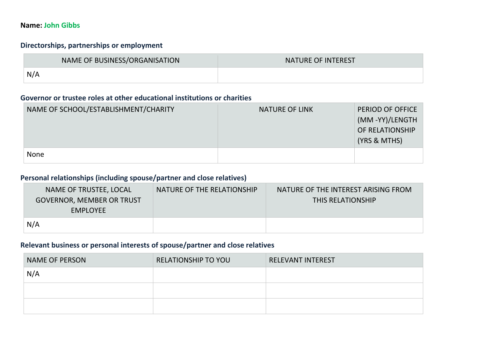#### **Name: John Gibbs**

## **Directorships, partnerships or employment**

| NAME OF BUSINESS/ORGANISATION | <b>NATURE OF INTEREST</b> |
|-------------------------------|---------------------------|
| N/A                           |                           |

#### **Governor or trustee roles at other educational institutions or charities**

| NAME OF SCHOOL/ESTABLISHMENT/CHARITY | <b>NATURE OF LINK</b> | PERIOD OF OFFICE<br>(MM-YY)/LENGTH<br>OF RELATIONSHIP<br>(YRS & MTHS) |
|--------------------------------------|-----------------------|-----------------------------------------------------------------------|
| <b>None</b>                          |                       |                                                                       |

## **Personal relationships (including spouse/partner and close relatives)**

| NAME OF TRUSTEE, LOCAL<br><b>GOVERNOR, MEMBER OR TRUST</b><br><b>EMPLOYEE</b> | NATURE OF THE RELATIONSHIP | NATURE OF THE INTEREST ARISING FROM<br><b>THIS RELATIONSHIP</b> |
|-------------------------------------------------------------------------------|----------------------------|-----------------------------------------------------------------|
| N/A                                                                           |                            |                                                                 |

| <b>NAME OF PERSON</b> | <b>RELATIONSHIP TO YOU</b> | <b>RELEVANT INTEREST</b> |
|-----------------------|----------------------------|--------------------------|
| N/A                   |                            |                          |
|                       |                            |                          |
|                       |                            |                          |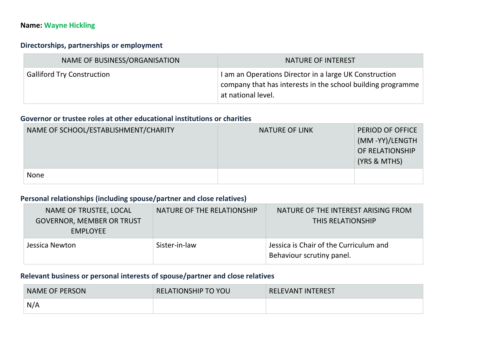## **Name: Wayne Hickling**

## **Directorships, partnerships or employment**

| NAME OF BUSINESS/ORGANISATION     | <b>NATURE OF INTEREST</b>                                                                                                                   |
|-----------------------------------|---------------------------------------------------------------------------------------------------------------------------------------------|
| <b>Galliford Try Construction</b> | I am an Operations Director in a large UK Construction<br>company that has interests in the school building programme<br>at national level. |

#### **Governor or trustee roles at other educational institutions or charities**

| NAME OF SCHOOL/ESTABLISHMENT/CHARITY | <b>NATURE OF LINK</b> | PERIOD OF OFFICE<br>(MM-YY)/LENGTH<br>OF RELATIONSHIP<br>(YRS & MTHS) |
|--------------------------------------|-----------------------|-----------------------------------------------------------------------|
| None                                 |                       |                                                                       |

## **Personal relationships (including spouse/partner and close relatives)**

| NAME OF TRUSTEE, LOCAL<br><b>GOVERNOR, MEMBER OR TRUST</b><br><b>EMPLOYEE</b> | NATURE OF THE RELATIONSHIP | NATURE OF THE INTEREST ARISING FROM<br>THIS RELATIONSHIP            |
|-------------------------------------------------------------------------------|----------------------------|---------------------------------------------------------------------|
| Jessica Newton                                                                | Sister-in-law              | Jessica is Chair of the Curriculum and<br>Behaviour scrutiny panel. |

| <b>NAME OF PERSON</b> | <b>RELATIONSHIP TO YOU</b> | <b>RELEVANT INTEREST</b> |
|-----------------------|----------------------------|--------------------------|
| N/A                   |                            |                          |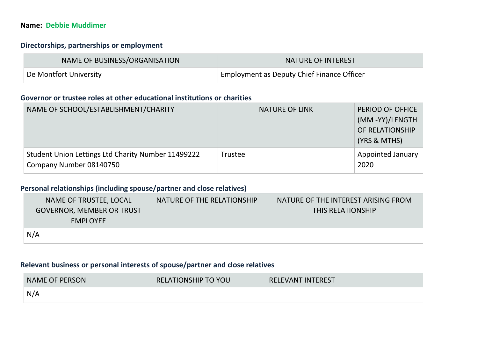#### **Name: Debbie Muddimer**

## **Directorships, partnerships or employment**

| NAME OF BUSINESS/ORGANISATION | NATURE OF INTEREST                         |
|-------------------------------|--------------------------------------------|
| De Montfort University        | Employment as Deputy Chief Finance Officer |

#### **Governor or trustee roles at other educational institutions or charities**

| NAME OF SCHOOL/ESTABLISHMENT/CHARITY                                          | <b>NATURE OF LINK</b> | PERIOD OF OFFICE<br>(MM-YY)/LENGTH<br>OF RELATIONSHIP<br>(YRS & MTHS) |
|-------------------------------------------------------------------------------|-----------------------|-----------------------------------------------------------------------|
| Student Union Lettings Ltd Charity Number 11499222<br>Company Number 08140750 | <b>Trustee</b>        | <b>Appointed January</b><br>2020                                      |

#### **Personal relationships (including spouse/partner and close relatives)**

| NAME OF TRUSTEE, LOCAL<br><b>GOVERNOR, MEMBER OR TRUST</b><br><b>EMPLOYEE</b> | NATURE OF THE RELATIONSHIP | NATURE OF THE INTEREST ARISING FROM<br>THIS RELATIONSHIP |
|-------------------------------------------------------------------------------|----------------------------|----------------------------------------------------------|
| N/A                                                                           |                            |                                                          |

| <b>NAME OF PERSON</b> | <b>RELATIONSHIP TO YOU</b> | <b>RELEVANT INTEREST</b> |
|-----------------------|----------------------------|--------------------------|
| N/A                   |                            |                          |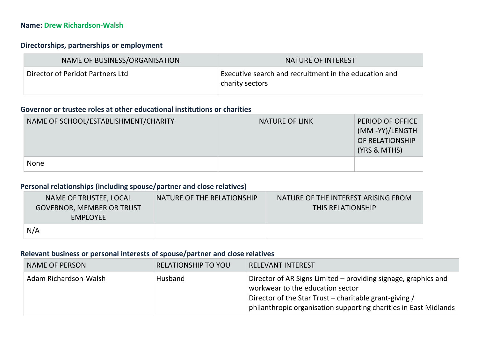#### **Name: Drew Richardson-Walsh**

## **Directorships, partnerships or employment**

| NAME OF BUSINESS/ORGANISATION    | NATURE OF INTEREST                                                       |
|----------------------------------|--------------------------------------------------------------------------|
| Director of Peridot Partners Ltd | Executive search and recruitment in the education and<br>charity sectors |

#### **Governor or trustee roles at other educational institutions or charities**

| NAME OF SCHOOL/ESTABLISHMENT/CHARITY | <b>NATURE OF LINK</b> | PERIOD OF OFFICE<br>(MM-YY)/LENGTH<br>OF RELATIONSHIP<br>(YRS & MTHS) |
|--------------------------------------|-----------------------|-----------------------------------------------------------------------|
| <b>None</b>                          |                       |                                                                       |

#### **Personal relationships (including spouse/partner and close relatives)**

| NAME OF TRUSTEE, LOCAL<br><b>GOVERNOR, MEMBER OR TRUST</b><br>EMPLOYEE | NATURE OF THE RELATIONSHIP | NATURE OF THE INTEREST ARISING FROM<br><b>THIS RELATIONSHIP</b> |
|------------------------------------------------------------------------|----------------------------|-----------------------------------------------------------------|
| N/A                                                                    |                            |                                                                 |

| NAME OF PERSON        | <b>RELATIONSHIP TO YOU</b> | <b>RELEVANT INTEREST</b>                                                                                                                                                                                                         |
|-----------------------|----------------------------|----------------------------------------------------------------------------------------------------------------------------------------------------------------------------------------------------------------------------------|
| Adam Richardson-Walsh | Husband                    | Director of AR Signs Limited – providing signage, graphics and<br>workwear to the education sector<br>Director of the Star Trust – charitable grant-giving /<br>philanthropic organisation supporting charities in East Midlands |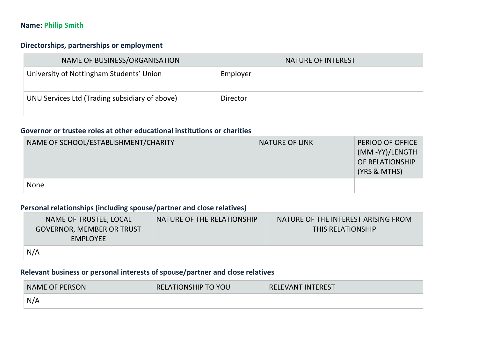## **Name: Philip Smith**

## **Directorships, partnerships or employment**

| NAME OF BUSINESS/ORGANISATION                  | <b>NATURE OF INTEREST</b> |
|------------------------------------------------|---------------------------|
| University of Nottingham Students' Union       | Employer                  |
| UNU Services Ltd (Trading subsidiary of above) | Director                  |

#### **Governor or trustee roles at other educational institutions or charities**

| NAME OF SCHOOL/ESTABLISHMENT/CHARITY | <b>NATURE OF LINK</b> | PERIOD OF OFFICE<br>(MM-YY)/LENGTH<br>OF RELATIONSHIP<br>(YRS & MTHS) |
|--------------------------------------|-----------------------|-----------------------------------------------------------------------|
| <b>None</b>                          |                       |                                                                       |

## **Personal relationships (including spouse/partner and close relatives)**

| NAME OF TRUSTEE, LOCAL<br><b>GOVERNOR, MEMBER OR TRUST</b><br>EMPLOYEE | NATURE OF THE RELATIONSHIP | NATURE OF THE INTEREST ARISING FROM<br><b>THIS RELATIONSHIP</b> |
|------------------------------------------------------------------------|----------------------------|-----------------------------------------------------------------|
| N/A                                                                    |                            |                                                                 |

| NAME OF PERSON | <b>RELATIONSHIP TO YOU</b> | <b>RELEVANT INTEREST</b> |
|----------------|----------------------------|--------------------------|
| N/A            |                            |                          |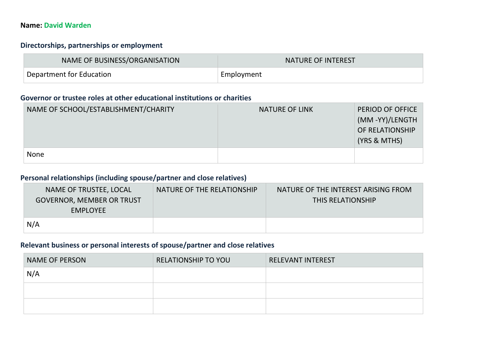#### **Name: David Warden**

## **Directorships, partnerships or employment**

| NAME OF BUSINESS/ORGANISATION | NATURE OF INTEREST |
|-------------------------------|--------------------|
| Department for Education      | Employment         |

#### **Governor or trustee roles at other educational institutions or charities**

| NAME OF SCHOOL/ESTABLISHMENT/CHARITY | <b>NATURE OF LINK</b> | PERIOD OF OFFICE<br>(MM-YY)/LENGTH<br>OF RELATIONSHIP<br>(YRS & MTHS) |
|--------------------------------------|-----------------------|-----------------------------------------------------------------------|
| <b>None</b>                          |                       |                                                                       |

## **Personal relationships (including spouse/partner and close relatives)**

| NAME OF TRUSTEE, LOCAL<br><b>GOVERNOR, MEMBER OR TRUST</b><br><b>EMPLOYEE</b> | NATURE OF THE RELATIONSHIP | NATURE OF THE INTEREST ARISING FROM<br><b>THIS RELATIONSHIP</b> |
|-------------------------------------------------------------------------------|----------------------------|-----------------------------------------------------------------|
| N/A                                                                           |                            |                                                                 |

| <b>NAME OF PERSON</b> | <b>RELATIONSHIP TO YOU</b> | <b>RELEVANT INTEREST</b> |
|-----------------------|----------------------------|--------------------------|
| N/A                   |                            |                          |
|                       |                            |                          |
|                       |                            |                          |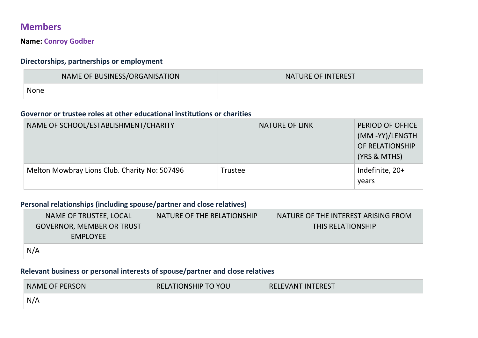# **Members**

**Name: Conroy Godber**

## **Directorships, partnerships or employment**

| NAME OF BUSINESS/ORGANISATION | <b>NATURE OF INTEREST</b> |
|-------------------------------|---------------------------|
| <b>None</b>                   |                           |

#### **Governor or trustee roles at other educational institutions or charities**

| NAME OF SCHOOL/ESTABLISHMENT/CHARITY          | <b>NATURE OF LINK</b> | PERIOD OF OFFICE<br>(MM-YY)/LENGTH<br>OF RELATIONSHIP<br>(YRS & MTHS) |
|-----------------------------------------------|-----------------------|-----------------------------------------------------------------------|
| Melton Mowbray Lions Club. Charity No: 507496 | Trustee               | Indefinite, 20+<br>years                                              |

## **Personal relationships (including spouse/partner and close relatives)**

| NAME OF TRUSTEE, LOCAL<br><b>GOVERNOR, MEMBER OR TRUST</b><br>EMPLOYEE | <b>NATURE OF THE RELATIONSHIP</b> | NATURE OF THE INTEREST ARISING FROM<br><b>THIS RELATIONSHIP</b> |
|------------------------------------------------------------------------|-----------------------------------|-----------------------------------------------------------------|
| N/A                                                                    |                                   |                                                                 |

| <b>NAME OF PERSON</b> | <b>RELATIONSHIP TO YOU</b> | <b>RELEVANT INTEREST</b> |
|-----------------------|----------------------------|--------------------------|
| N/A                   |                            |                          |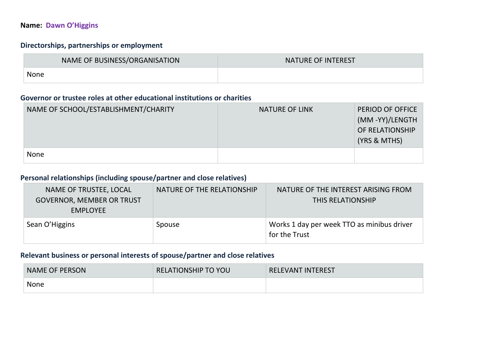#### **Name: Dawn O'Higgins**

## **Directorships, partnerships or employment**

| NAME OF BUSINESS/ORGANISATION | <b>NATURE OF INTEREST</b> |
|-------------------------------|---------------------------|
| <b>None</b>                   |                           |

#### **Governor or trustee roles at other educational institutions or charities**

| NAME OF SCHOOL/ESTABLISHMENT/CHARITY | <b>NATURE OF LINK</b> | PERIOD OF OFFICE<br>(MM-YY)/LENGTH<br>OF RELATIONSHIP<br>(YRS & MTHS) |
|--------------------------------------|-----------------------|-----------------------------------------------------------------------|
| <b>None</b>                          |                       |                                                                       |

## **Personal relationships (including spouse/partner and close relatives)**

| NAME OF TRUSTEE, LOCAL<br><b>GOVERNOR, MEMBER OR TRUST</b><br><b>EMPLOYEE</b> | NATURE OF THE RELATIONSHIP | NATURE OF THE INTEREST ARISING FROM<br><b>THIS RELATIONSHIP</b> |
|-------------------------------------------------------------------------------|----------------------------|-----------------------------------------------------------------|
| Sean O'Higgins                                                                | Spouse                     | Works 1 day per week TTO as minibus driver<br>for the Trust     |

| <b>NAME OF PERSON</b> | <b>RELATIONSHIP TO YOU</b> | <b>RELEVANT INTEREST</b> |
|-----------------------|----------------------------|--------------------------|
| <b>None</b>           |                            |                          |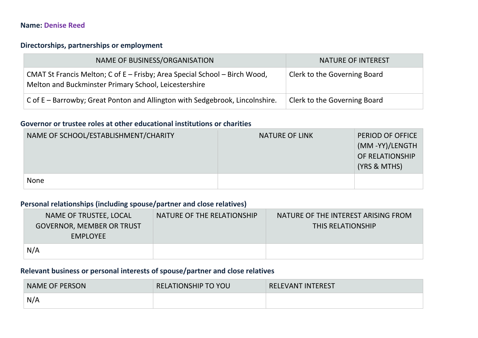#### **Name: Denise Reed**

## **Directorships, partnerships or employment**

| NAME OF BUSINESS/ORGANISATION                                                                                                       | <b>NATURE OF INTEREST</b>           |
|-------------------------------------------------------------------------------------------------------------------------------------|-------------------------------------|
| CMAT St Francis Melton; C of E – Frisby; Area Special School – Birch Wood,<br>Melton and Buckminster Primary School, Leicestershire | <b>Clerk to the Governing Board</b> |
| C of E – Barrowby; Great Ponton and Allington with Sedgebrook, Lincolnshire.                                                        | <b>Clerk to the Governing Board</b> |

#### **Governor or trustee roles at other educational institutions or charities**

| NAME OF SCHOOL/ESTABLISHMENT/CHARITY | <b>NATURE OF LINK</b> | <b>PERIOD OF OFFICE</b><br>(MM-YY)/LENGTH<br>OF RELATIONSHIP<br>(YRS & MTHS) |
|--------------------------------------|-----------------------|------------------------------------------------------------------------------|
| <b>None</b>                          |                       |                                                                              |

## **Personal relationships (including spouse/partner and close relatives)**

| NAME OF TRUSTEE, LOCAL<br><b>GOVERNOR, MEMBER OR TRUST</b><br><b>EMPLOYEE</b> | NATURE OF THE RELATIONSHIP | NATURE OF THE INTEREST ARISING FROM<br><b>THIS RELATIONSHIP</b> |
|-------------------------------------------------------------------------------|----------------------------|-----------------------------------------------------------------|
| N/A                                                                           |                            |                                                                 |

| <b>NAME OF PERSON</b> | <b>RELATIONSHIP TO YOU</b> | <b>RELEVANT INTEREST</b> |
|-----------------------|----------------------------|--------------------------|
| N/A                   |                            |                          |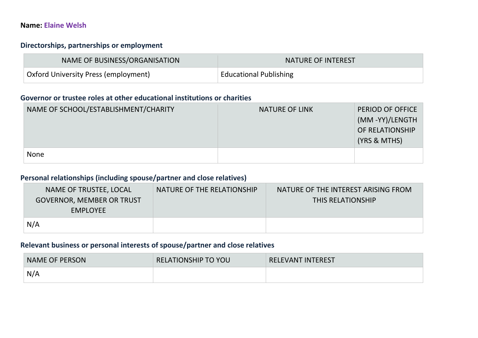#### **Name: Elaine Welsh**

## **Directorships, partnerships or employment**

| NAME OF BUSINESS/ORGANISATION        | NATURE OF INTEREST            |
|--------------------------------------|-------------------------------|
| Oxford University Press (employment) | <b>Educational Publishing</b> |

#### **Governor or trustee roles at other educational institutions or charities**

| NAME OF SCHOOL/ESTABLISHMENT/CHARITY | <b>NATURE OF LINK</b> | PERIOD OF OFFICE<br>(MM-YY)/LENGTH<br>OF RELATIONSHIP<br>(YRS & MTHS) |
|--------------------------------------|-----------------------|-----------------------------------------------------------------------|
| <b>None</b>                          |                       |                                                                       |

## **Personal relationships (including spouse/partner and close relatives)**

| NAME OF TRUSTEE, LOCAL<br><b>GOVERNOR, MEMBER OR TRUST</b><br>EMPLOYEE | NATURE OF THE RELATIONSHIP | NATURE OF THE INTEREST ARISING FROM<br><b>THIS RELATIONSHIP</b> |
|------------------------------------------------------------------------|----------------------------|-----------------------------------------------------------------|
| N/A                                                                    |                            |                                                                 |

| <b>NAME OF PERSON</b> | <b>RELATIONSHIP TO YOU</b> | <b>RELEVANT INTEREST</b> |
|-----------------------|----------------------------|--------------------------|
| N/A                   |                            |                          |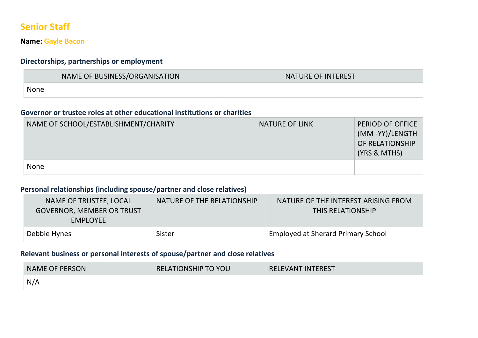# **Senior Staff**

**Name: Gayle Bacon**

## **Directorships, partnerships or employment**

| NAME OF BUSINESS/ORGANISATION | NATURE OF INTEREST |
|-------------------------------|--------------------|
| None                          |                    |

#### **Governor or trustee roles at other educational institutions or charities**

| NAME OF SCHOOL/ESTABLISHMENT/CHARITY | <b>NATURE OF LINK</b> | PERIOD OF OFFICE<br>(MM-YY)/LENGTH<br>OF RELATIONSHIP<br>(YRS & MTHS) |
|--------------------------------------|-----------------------|-----------------------------------------------------------------------|
| <b>None</b>                          |                       |                                                                       |

#### **Personal relationships (including spouse/partner and close relatives)**

| NAME OF TRUSTEE, LOCAL<br><b>GOVERNOR, MEMBER OR TRUST</b><br><b>EMPLOYEE</b> | NATURE OF THE RELATIONSHIP | NATURE OF THE INTEREST ARISING FROM<br><b>THIS RELATIONSHIP</b> |
|-------------------------------------------------------------------------------|----------------------------|-----------------------------------------------------------------|
| Debbie Hynes                                                                  | Sister                     | <b>Employed at Sherard Primary School</b>                       |

| <b>NAME OF PERSON</b> | <b>RELATIONSHIP TO YOU</b> | <b>RELEVANT INTEREST</b> |
|-----------------------|----------------------------|--------------------------|
| N/A                   |                            |                          |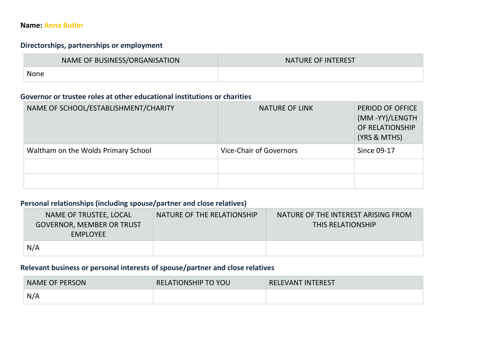#### **Name: Anna Butler**

## **Directorships, partnerships or employment**

| NAME OF BUSINESS/ORGANISATION | <b>NATURE OF INTEREST</b> |
|-------------------------------|---------------------------|
| None                          |                           |

#### **Governor or trustee roles at other educational institutions or charities**

| NAME OF SCHOOL/ESTABLISHMENT/CHARITY | <b>NATURE OF LINK</b>          | PERIOD OF OFFICE<br>(MM-YY)/LENGTH<br>OF RELATIONSHIP<br>(YRS & MTHS) |
|--------------------------------------|--------------------------------|-----------------------------------------------------------------------|
| Waltham on the Wolds Primary School  | <b>Vice-Chair of Governors</b> | Since 09-17                                                           |
|                                      |                                |                                                                       |
|                                      |                                |                                                                       |

## **Personal relationships (including spouse/partner and close relatives)**

| NAME OF TRUSTEE, LOCAL<br><b>GOVERNOR, MEMBER OR TRUST</b><br>EMPLOYEE | NATURE OF THE RELATIONSHIP | NATURE OF THE INTEREST ARISING FROM<br><b>THIS RELATIONSHIP</b> |
|------------------------------------------------------------------------|----------------------------|-----------------------------------------------------------------|
| N/A                                                                    |                            |                                                                 |

| NAME OF PERSON | <b>RELATIONSHIP TO YOU</b> | <b>RELEVANT INTEREST</b> |
|----------------|----------------------------|--------------------------|
| N/A            |                            |                          |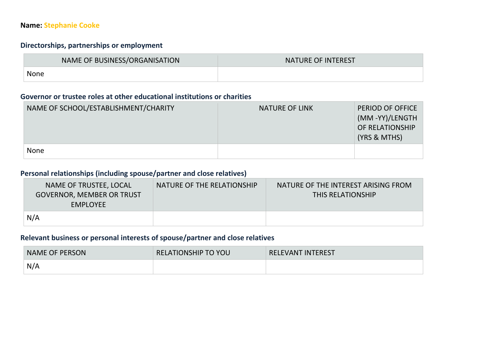## **Name: Stephanie Cooke**

## **Directorships, partnerships or employment**

| NAME OF BUSINESS/ORGANISATION | <b>NATURE OF INTEREST</b> |
|-------------------------------|---------------------------|
| None                          |                           |

#### **Governor or trustee roles at other educational institutions or charities**

| NAME OF SCHOOL/ESTABLISHMENT/CHARITY | <b>NATURE OF LINK</b> | PERIOD OF OFFICE<br>(MM-YY)/LENGTH<br>OF RELATIONSHIP<br>(YRS & MTHS) |
|--------------------------------------|-----------------------|-----------------------------------------------------------------------|
| <b>None</b>                          |                       |                                                                       |

## **Personal relationships (including spouse/partner and close relatives)**

| NAME OF TRUSTEE, LOCAL<br><b>GOVERNOR, MEMBER OR TRUST</b><br>EMPLOYEE | NATURE OF THE RELATIONSHIP | NATURE OF THE INTEREST ARISING FROM<br><b>THIS RELATIONSHIP</b> |
|------------------------------------------------------------------------|----------------------------|-----------------------------------------------------------------|
| N/A                                                                    |                            |                                                                 |

| <b>NAME OF PERSON</b> | <b>RELATIONSHIP TO YOU</b> | <b>RELEVANT INTEREST</b> |
|-----------------------|----------------------------|--------------------------|
| N/A                   |                            |                          |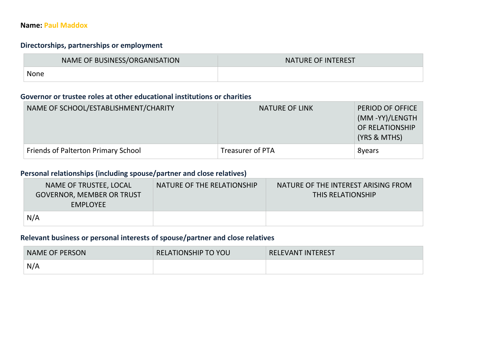#### **Name: Paul Maddox**

## **Directorships, partnerships or employment**

| NAME OF BUSINESS/ORGANISATION | <b>NATURE OF INTEREST</b> |
|-------------------------------|---------------------------|
| None                          |                           |

#### **Governor or trustee roles at other educational institutions or charities**

| NAME OF SCHOOL/ESTABLISHMENT/CHARITY | <b>NATURE OF LINK</b>   | PERIOD OF OFFICE<br>(MM-YY)/LENGTH<br>OF RELATIONSHIP<br>(YRS & MTHS) |
|--------------------------------------|-------------------------|-----------------------------------------------------------------------|
| Friends of Palterton Primary School  | <b>Treasurer of PTA</b> | 8years                                                                |

## **Personal relationships (including spouse/partner and close relatives)**

| NAME OF TRUSTEE, LOCAL<br><b>GOVERNOR, MEMBER OR TRUST</b><br><b>EMPLOYEE</b> | <b>NATURE OF THE RELATIONSHIP</b> | NATURE OF THE INTEREST ARISING FROM<br><b>THIS RELATIONSHIP</b> |
|-------------------------------------------------------------------------------|-----------------------------------|-----------------------------------------------------------------|
| N/A                                                                           |                                   |                                                                 |

| <b>NAME OF PERSON</b> | <b>RELATIONSHIP TO YOU</b> | <b>RELEVANT INTEREST</b> |
|-----------------------|----------------------------|--------------------------|
| N/A                   |                            |                          |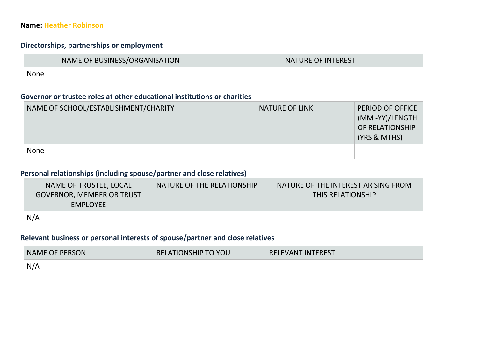#### **Name: Heather Robinson**

## **Directorships, partnerships or employment**

| NAME OF BUSINESS/ORGANISATION | <b>NATURE OF INTEREST</b> |
|-------------------------------|---------------------------|
| None                          |                           |

#### **Governor or trustee roles at other educational institutions or charities**

| NAME OF SCHOOL/ESTABLISHMENT/CHARITY | <b>NATURE OF LINK</b> | PERIOD OF OFFICE<br>(MM-YY)/LENGTH<br>OF RELATIONSHIP<br>(YRS & MTHS) |
|--------------------------------------|-----------------------|-----------------------------------------------------------------------|
| <b>None</b>                          |                       |                                                                       |

## **Personal relationships (including spouse/partner and close relatives)**

| NAME OF TRUSTEE, LOCAL<br><b>GOVERNOR, MEMBER OR TRUST</b><br>EMPLOYEE | NATURE OF THE RELATIONSHIP | NATURE OF THE INTEREST ARISING FROM<br><b>THIS RELATIONSHIP</b> |
|------------------------------------------------------------------------|----------------------------|-----------------------------------------------------------------|
| N/A                                                                    |                            |                                                                 |

| <b>NAME OF PERSON</b> | <b>RELATIONSHIP TO YOU</b> | <b>RELEVANT INTEREST</b> |
|-----------------------|----------------------------|--------------------------|
| N/A                   |                            |                          |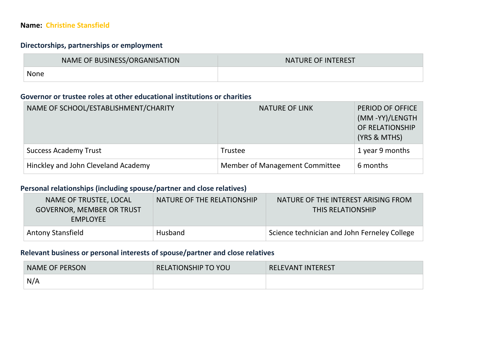#### **Name: Christine Stansfield**

## **Directorships, partnerships or employment**

| NAME OF BUSINESS/ORGANISATION | <b>NATURE OF INTEREST</b> |
|-------------------------------|---------------------------|
| None                          |                           |

#### **Governor or trustee roles at other educational institutions or charities**

| NAME OF SCHOOL/ESTABLISHMENT/CHARITY | <b>NATURE OF LINK</b>          | PERIOD OF OFFICE<br>(MM-YY)/LENGTH<br>OF RELATIONSHIP<br>(YRS & MTHS) |
|--------------------------------------|--------------------------------|-----------------------------------------------------------------------|
| <b>Success Academy Trust</b>         | Trustee                        | 1 year 9 months                                                       |
| Hinckley and John Cleveland Academy  | Member of Management Committee | 6 months                                                              |

## **Personal relationships (including spouse/partner and close relatives)**

| NAME OF TRUSTEE, LOCAL<br><b>GOVERNOR, MEMBER OR TRUST</b><br><b>EMPLOYEE</b> | NATURE OF THE RELATIONSHIP | NATURE OF THE INTEREST ARISING FROM<br><b>THIS RELATIONSHIP</b> |
|-------------------------------------------------------------------------------|----------------------------|-----------------------------------------------------------------|
| <b>Antony Stansfield</b>                                                      | Husband                    | Science technician and John Ferneley College                    |

| <b>NAME OF PERSON</b> | <b>RELATIONSHIP TO YOU</b> | <b>RELEVANT INTEREST</b> |
|-----------------------|----------------------------|--------------------------|
| N/A                   |                            |                          |